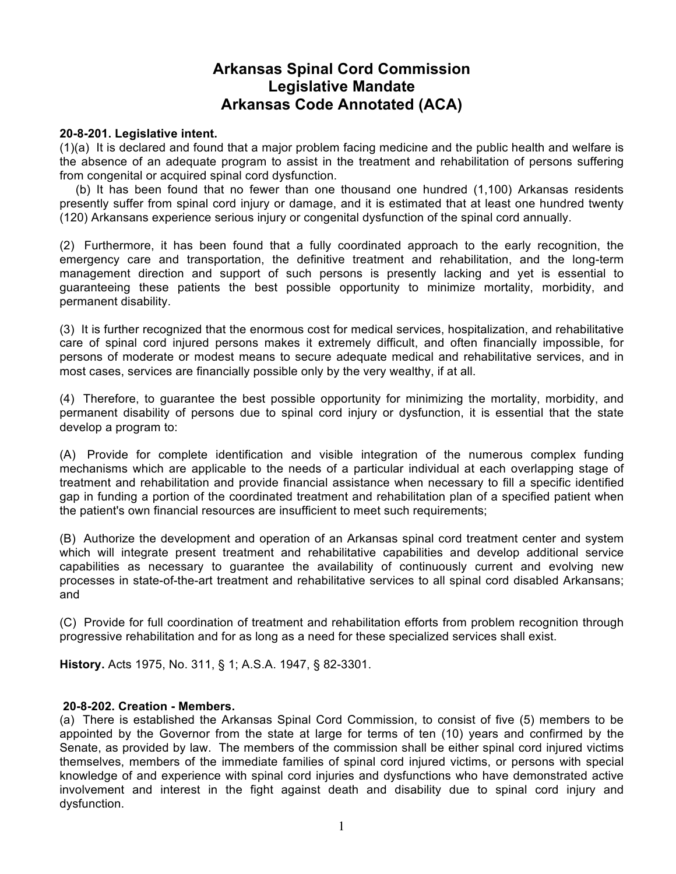# **Arkansas Spinal Cord Commission Legislative Mandate Arkansas Code Annotated (ACA)**

#### **20-8-201. Legislative intent.**

(1)(a) It is declared and found that a major problem facing medicine and the public health and welfare is the absence of an adequate program to assist in the treatment and rehabilitation of persons suffering from congenital or acquired spinal cord dysfunction.

 (b) It has been found that no fewer than one thousand one hundred (1,100) Arkansas residents presently suffer from spinal cord injury or damage, and it is estimated that at least one hundred twenty (120) Arkansans experience serious injury or congenital dysfunction of the spinal cord annually.

(2) Furthermore, it has been found that a fully coordinated approach to the early recognition, the emergency care and transportation, the definitive treatment and rehabilitation, and the long-term management direction and support of such persons is presently lacking and yet is essential to guaranteeing these patients the best possible opportunity to minimize mortality, morbidity, and permanent disability.

(3) It is further recognized that the enormous cost for medical services, hospitalization, and rehabilitative care of spinal cord injured persons makes it extremely difficult, and often financially impossible, for persons of moderate or modest means to secure adequate medical and rehabilitative services, and in most cases, services are financially possible only by the very wealthy, if at all.

(4) Therefore, to guarantee the best possible opportunity for minimizing the mortality, morbidity, and permanent disability of persons due to spinal cord injury or dysfunction, it is essential that the state develop a program to:

(A) Provide for complete identification and visible integration of the numerous complex funding mechanisms which are applicable to the needs of a particular individual at each overlapping stage of treatment and rehabilitation and provide financial assistance when necessary to fill a specific identified gap in funding a portion of the coordinated treatment and rehabilitation plan of a specified patient when the patient's own financial resources are insufficient to meet such requirements;

(B) Authorize the development and operation of an Arkansas spinal cord treatment center and system which will integrate present treatment and rehabilitative capabilities and develop additional service capabilities as necessary to guarantee the availability of continuously current and evolving new processes in state-of-the-art treatment and rehabilitative services to all spinal cord disabled Arkansans; and

(C) Provide for full coordination of treatment and rehabilitation efforts from problem recognition through progressive rehabilitation and for as long as a need for these specialized services shall exist.

**History.** Acts 1975, No. 311, § 1; A.S.A. 1947, § 82-3301.

#### **20-8-202. Creation - Members.**

(a) There is established the Arkansas Spinal Cord Commission, to consist of five (5) members to be appointed by the Governor from the state at large for terms of ten (10) years and confirmed by the Senate, as provided by law. The members of the commission shall be either spinal cord injured victims themselves, members of the immediate families of spinal cord injured victims, or persons with special knowledge of and experience with spinal cord injuries and dysfunctions who have demonstrated active involvement and interest in the fight against death and disability due to spinal cord injury and dysfunction.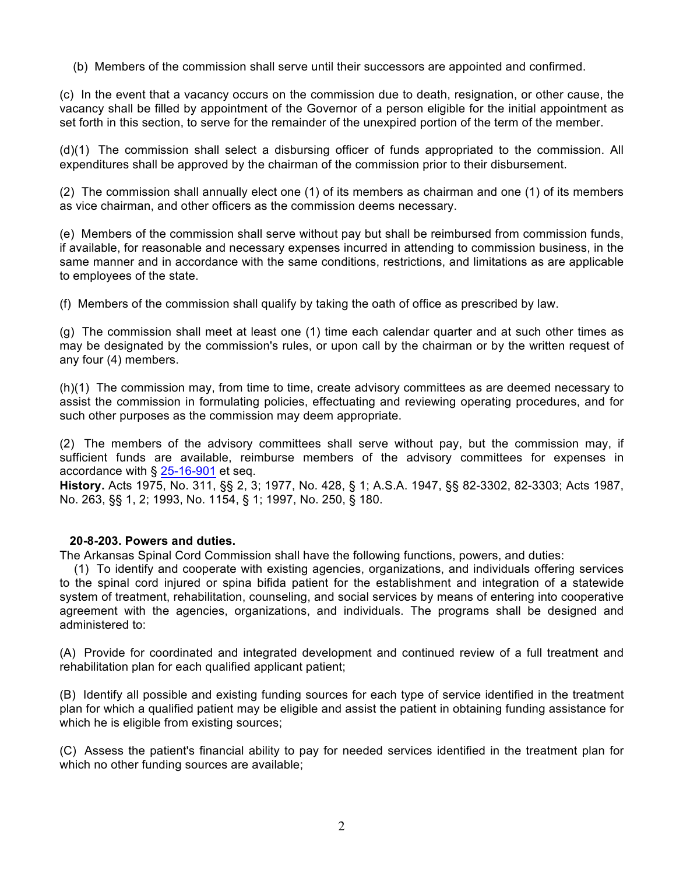(b) Members of the commission shall serve until their successors are appointed and confirmed.

(c) In the event that a vacancy occurs on the commission due to death, resignation, or other cause, the vacancy shall be filled by appointment of the Governor of a person eligible for the initial appointment as set forth in this section, to serve for the remainder of the unexpired portion of the term of the member.

(d)(1) The commission shall select a disbursing officer of funds appropriated to the commission. All expenditures shall be approved by the chairman of the commission prior to their disbursement.

(2) The commission shall annually elect one (1) of its members as chairman and one (1) of its members as vice chairman, and other officers as the commission deems necessary.

(e) Members of the commission shall serve without pay but shall be reimbursed from commission funds, if available, for reasonable and necessary expenses incurred in attending to commission business, in the same manner and in accordance with the same conditions, restrictions, and limitations as are applicable to employees of the state.

(f) Members of the commission shall qualify by taking the oath of office as prescribed by law.

(g) The commission shall meet at least one (1) time each calendar quarter and at such other times as may be designated by the commission's rules, or upon call by the chairman or by the written request of any four (4) members.

(h)(1) The commission may, from time to time, create advisory committees as are deemed necessary to assist the commission in formulating policies, effectuating and reviewing operating procedures, and for such other purposes as the commission may deem appropriate.

(2) The members of the advisory committees shall serve without pay, but the commission may, if sufficient funds are available, reimburse members of the advisory committees for expenses in accordance with § 25-16-901 et seq.

**History.** Acts 1975, No. 311, §§ 2, 3; 1977, No. 428, § 1; A.S.A. 1947, §§ 82-3302, 82-3303; Acts 1987, No. 263, §§ 1, 2; 1993, No. 1154, § 1; 1997, No. 250, § 180.

#### **20-8-203. Powers and duties.**

The Arkansas Spinal Cord Commission shall have the following functions, powers, and duties:

 (1) To identify and cooperate with existing agencies, organizations, and individuals offering services to the spinal cord injured or spina bifida patient for the establishment and integration of a statewide system of treatment, rehabilitation, counseling, and social services by means of entering into cooperative agreement with the agencies, organizations, and individuals. The programs shall be designed and administered to:

(A) Provide for coordinated and integrated development and continued review of a full treatment and rehabilitation plan for each qualified applicant patient;

(B) Identify all possible and existing funding sources for each type of service identified in the treatment plan for which a qualified patient may be eligible and assist the patient in obtaining funding assistance for which he is eligible from existing sources;

(C) Assess the patient's financial ability to pay for needed services identified in the treatment plan for which no other funding sources are available;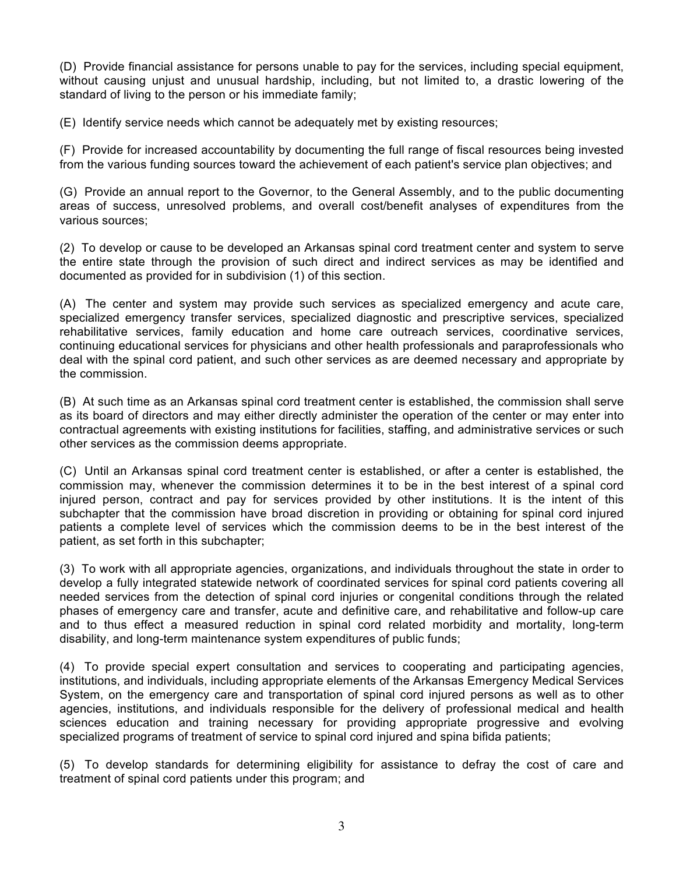(D) Provide financial assistance for persons unable to pay for the services, including special equipment, without causing unjust and unusual hardship, including, but not limited to, a drastic lowering of the standard of living to the person or his immediate family;

(E) Identify service needs which cannot be adequately met by existing resources;

(F) Provide for increased accountability by documenting the full range of fiscal resources being invested from the various funding sources toward the achievement of each patient's service plan objectives; and

(G) Provide an annual report to the Governor, to the General Assembly, and to the public documenting areas of success, unresolved problems, and overall cost/benefit analyses of expenditures from the various sources;

(2) To develop or cause to be developed an Arkansas spinal cord treatment center and system to serve the entire state through the provision of such direct and indirect services as may be identified and documented as provided for in subdivision (1) of this section.

(A) The center and system may provide such services as specialized emergency and acute care, specialized emergency transfer services, specialized diagnostic and prescriptive services, specialized rehabilitative services, family education and home care outreach services, coordinative services, continuing educational services for physicians and other health professionals and paraprofessionals who deal with the spinal cord patient, and such other services as are deemed necessary and appropriate by the commission.

(B) At such time as an Arkansas spinal cord treatment center is established, the commission shall serve as its board of directors and may either directly administer the operation of the center or may enter into contractual agreements with existing institutions for facilities, staffing, and administrative services or such other services as the commission deems appropriate.

(C) Until an Arkansas spinal cord treatment center is established, or after a center is established, the commission may, whenever the commission determines it to be in the best interest of a spinal cord injured person, contract and pay for services provided by other institutions. It is the intent of this subchapter that the commission have broad discretion in providing or obtaining for spinal cord injured patients a complete level of services which the commission deems to be in the best interest of the patient, as set forth in this subchapter;

(3) To work with all appropriate agencies, organizations, and individuals throughout the state in order to develop a fully integrated statewide network of coordinated services for spinal cord patients covering all needed services from the detection of spinal cord injuries or congenital conditions through the related phases of emergency care and transfer, acute and definitive care, and rehabilitative and follow-up care and to thus effect a measured reduction in spinal cord related morbidity and mortality, long-term disability, and long-term maintenance system expenditures of public funds;

(4) To provide special expert consultation and services to cooperating and participating agencies, institutions, and individuals, including appropriate elements of the Arkansas Emergency Medical Services System, on the emergency care and transportation of spinal cord injured persons as well as to other agencies, institutions, and individuals responsible for the delivery of professional medical and health sciences education and training necessary for providing appropriate progressive and evolving specialized programs of treatment of service to spinal cord injured and spina bifida patients;

(5) To develop standards for determining eligibility for assistance to defray the cost of care and treatment of spinal cord patients under this program; and